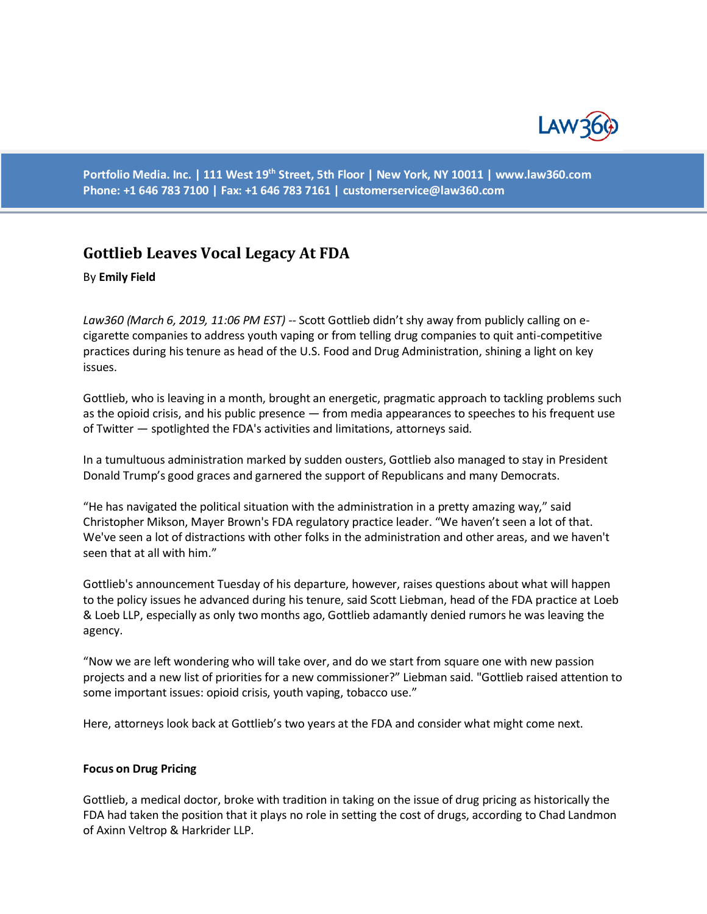

**Portfolio Media. Inc. | 111 West 19th Street, 5th Floor | New York, NY 10011 | www.law360.com Phone: +1 646 783 7100 | Fax: +1 646 783 7161 | [customerservice@law360.com](mailto:customerservice@law360.com)**

# **Gottlieb Leaves Vocal Legacy At FDA**

By **Emily Field**

*Law360 (March 6, 2019, 11:06 PM EST) --* Scott Gottlieb didn't shy away from publicly calling on ecigarette companies to address youth vaping or from telling drug companies to quit anti-competitive practices during his tenure as head of the U.S. Food and Drug Administration, shining a light on key issues.

Gottlieb, who is leaving in a month, brought an energetic, pragmatic approach to tackling problems such as the opioid crisis, and his public presence — from media appearances to speeches to his frequent use of Twitter — spotlighted the FDA's activities and limitations, attorneys said.

In a tumultuous administration marked by sudden ousters, Gottlieb also managed to stay in President Donald Trump's good graces and garnered the support of Republicans and many Democrats.

"He has navigated the political situation with the administration in a pretty amazing way," said Christopher Mikson, Mayer Brown's FDA regulatory practice leader. "We haven't seen a lot of that. We've seen a lot of distractions with other folks in the administration and other areas, and we haven't seen that at all with him."

Gottlieb's announcement Tuesday of his departure, however, raises questions about what will happen to the policy issues he advanced during his tenure, said Scott Liebman, head of the FDA practice at Loeb & Loeb LLP, especially as only two months ago, Gottlieb adamantly denied rumors he was leaving the agency.

"Now we are left wondering who will take over, and do we start from square one with new passion projects and a new list of priorities for a new commissioner?" Liebman said. "Gottlieb raised attention to some important issues: opioid crisis, youth vaping, tobacco use."

Here, attorneys look back at Gottlieb's two years at the FDA and consider what might come next.

#### **Focus on Drug Pricing**

Gottlieb, a medical doctor, broke with tradition in taking on the issue of drug pricing as historically the FDA had taken the position that it plays no role in setting the cost of drugs, according to Chad Landmon of Axinn Veltrop & Harkrider LLP.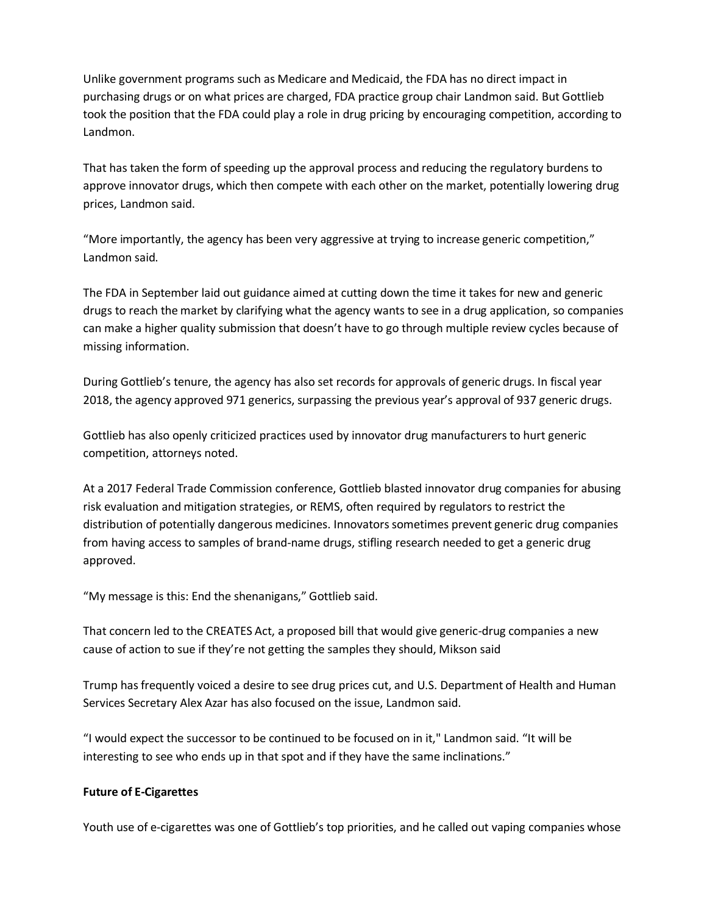Unlike government programs such as Medicare and Medicaid, the FDA has no direct impact in purchasing drugs or on what prices are charged, FDA practice group chair Landmon said. But Gottlieb took the position that the FDA could play a role in drug pricing by encouraging competition, according to Landmon.

That has taken the form of speeding up the approval process and reducing the regulatory burdens to approve innovator drugs, which then compete with each other on the market, potentially lowering drug prices, Landmon said.

"More importantly, the agency has been very aggressive at trying to increase generic competition," Landmon said.

The FDA in September laid out guidance aimed at cutting down the time it takes for new and generic drugs to reach the market by clarifying what the agency wants to see in a drug application, so companies can make a higher quality submission that doesn't have to go through multiple review cycles because of missing information.

During Gottlieb's tenure, the agency has also set records for approvals of generic drugs. In fiscal year 2018, the agency approved 971 generics, surpassing the previous year's approval of 937 generic drugs.

Gottlieb has also openly criticized practices used by innovator drug manufacturers to hurt generic competition, attorneys noted.

At a 2017 Federal Trade Commission conference, Gottlieb blasted innovator drug companies for abusing risk evaluation and mitigation strategies, or REMS, often required by regulators to restrict the distribution of potentially dangerous medicines. Innovators sometimes prevent generic drug companies from having access to samples of brand-name drugs, stifling research needed to get a generic drug approved.

"My message is this: End the shenanigans," Gottlieb said.

That concern led to the CREATES Act, a proposed bill that would give generic-drug companies a new cause of action to sue if they're not getting the samples they should, Mikson said

Trump has frequently voiced a desire to see drug prices cut, and U.S. Department of Health and Human Services Secretary Alex Azar has also focused on the issue, Landmon said.

"I would expect the successor to be continued to be focused on in it," Landmon said. "It will be interesting to see who ends up in that spot and if they have the same inclinations."

### **Future of E-Cigarettes**

Youth use of e-cigarettes was one of Gottlieb's top priorities, and he called out vaping companies whose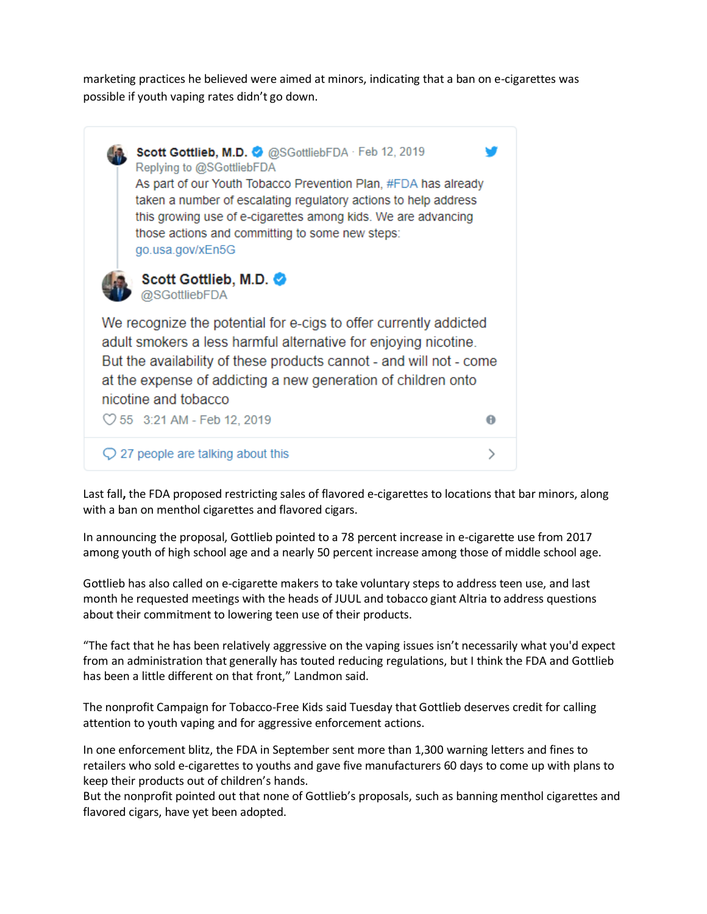marketing practices he believed were aimed at minors, indicating that a ban on e-cigarettes was possible if youth vaping rates didn't go down.



Last fall**,** the FDA proposed restricting sales of flavored e-cigarettes to locations that bar minors, along with a ban on menthol cigarettes and flavored cigars.

In announcing the proposal, Gottlieb pointed to a 78 percent increase in e-cigarette use from 2017 among youth of high school age and a nearly 50 percent increase among those of middle school age.

Gottlieb has also called on e-cigarette makers to take voluntary steps to address teen use, and last month he requested meetings with the heads of JUUL and tobacco giant Altria to address questions about their commitment to lowering teen use of their products.

"The fact that he has been relatively aggressive on the vaping issues isn't necessarily what you'd expect from an administration that generally has touted reducing regulations, but I think the FDA and Gottlieb has been a little different on that front," Landmon said.

The nonprofit Campaign for Tobacco-Free Kids said Tuesday that Gottlieb deserves credit for calling attention to youth vaping and for aggressive enforcement actions.

In one enforcement blitz, the FDA in September sent more than 1,300 warning letters and fines to retailers who sold e-cigarettes to youths and gave five manufacturers 60 days to come up with plans to keep their products out of children's hands.

But the nonprofit pointed out that none of Gottlieb's proposals, such as banning menthol cigarettes and flavored cigars, have yet been adopted.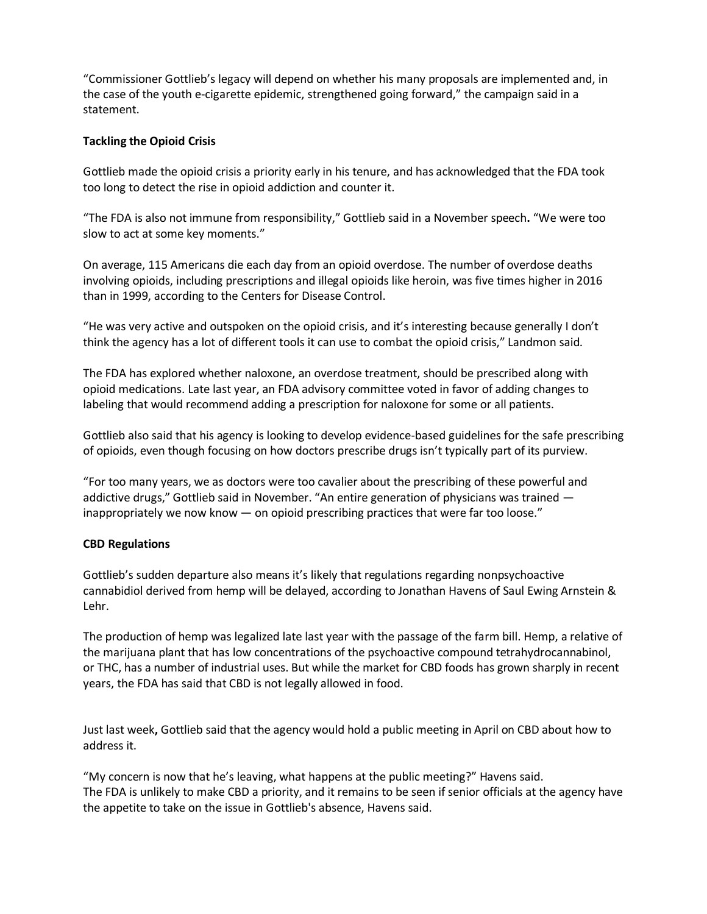"Commissioner Gottlieb's legacy will depend on whether his many proposals are implemented and, in the case of the youth e-cigarette epidemic, strengthened going forward," the campaign said in a statement.

## **Tackling the Opioid Crisis**

Gottlieb made the opioid crisis a priority early in his tenure, and has acknowledged that the FDA took too long to detect the rise in opioid addiction and counter it.

"The FDA is also not immune from responsibility," Gottlieb said in a November speech**.** "We were too slow to act at some key moments."

On average, 115 Americans die each day from an opioid overdose. The number of overdose deaths involving opioids, including prescriptions and illegal opioids like heroin, was five times higher in 2016 than in 1999, according to the Centers for Disease Control.

"He was very active and outspoken on the opioid crisis, and it's interesting because generally I don't think the agency has a lot of different tools it can use to combat the opioid crisis," Landmon said.

The FDA has explored whether naloxone, an overdose treatment, should be prescribed along with opioid medications. Late last year, an FDA advisory committee voted in favor of adding changes to labeling that would recommend adding a prescription for naloxone for some or all patients.

Gottlieb also said that his agency is looking to develop evidence-based guidelines for the safe prescribing of opioids, even though focusing on how doctors prescribe drugs isn't typically part of its purview.

"For too many years, we as doctors were too cavalier about the prescribing of these powerful and addictive drugs," Gottlieb said in November. "An entire generation of physicians was trained inappropriately we now know — on opioid prescribing practices that were far too loose."

### **CBD Regulations**

Gottlieb's sudden departure also means it's likely that regulations regarding nonpsychoactive cannabidiol derived from hemp will be delayed, according to Jonathan Havens of Saul Ewing Arnstein & Lehr.

The production of hemp was legalized late last year with the passage of the farm bill. Hemp, a relative of the marijuana plant that has low concentrations of the psychoactive compound tetrahydrocannabinol, or THC, has a number of industrial uses. But while the market for CBD foods has grown sharply in recent years, the FDA has said that CBD is not legally allowed in food.

Just last week**,** Gottlieb said that the agency would hold a public meeting in April on CBD about how to address it.

"My concern is now that he's leaving, what happens at the public meeting?" Havens said. The FDA is unlikely to make CBD a priority, and it remains to be seen if senior officials at the agency have the appetite to take on the issue in Gottlieb's absence, Havens said.